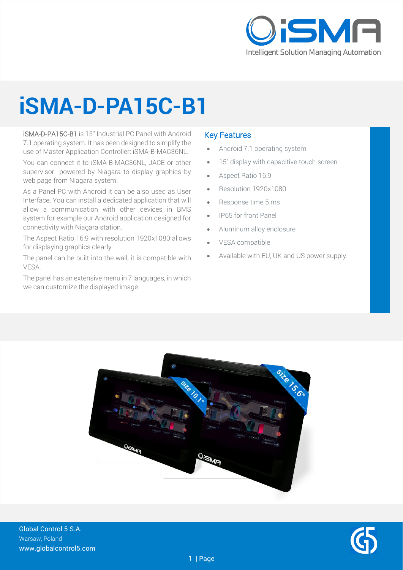

## **iSMA-D-PA15C-B1**

iSMA-D-PA15C-B1 is 15'' Industrial PC Panel with Android 7.1 operating system. It has been designed to simplify the use of Master Application Controller: iSMA-B-MAC36NL.

You can connect it to iSMA-B-MAC36NL, JACE or other supervisor powered by Niagara to display graphics by web page from Niagara system.

As a Panel PC with Android it can be also used as User Interface. You can install a dedicated application that will allow a communication with other devices in BMS system for example our Android application designed for connectivity with Niagara station.

The Aspect Ratio 16:9 with resolution 1920x1080 allows for displaying graphics clearly.

The panel can be built into the wall, it is compatible with VESA.

The panel has an extensive menu in 7 languages, in which we can customize the displayed image.

#### Key Features

- Android 7.1 operating system
- 15" display with capacitive touch screen
- Aspect Ratio 16:9
- Resolution 1920x1080
- Response time 5 ms
- IP65 for front Panel
- Aluminum alloy enclosure
- VESA compatible
- Available with EU, UK and US power supply.